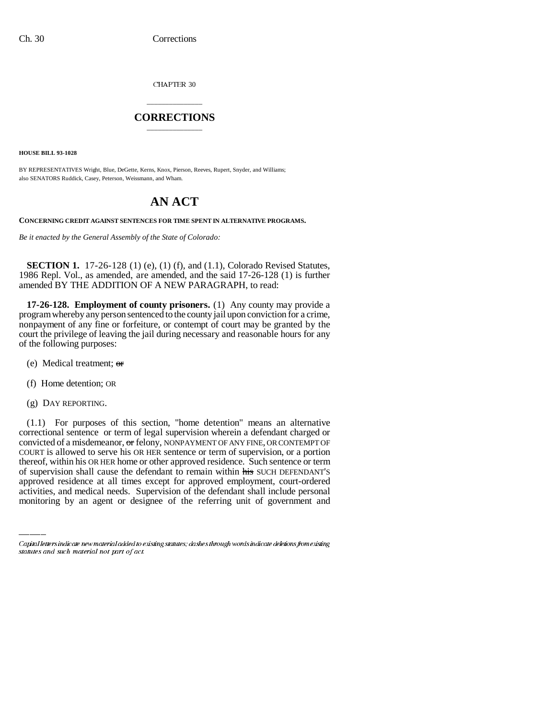CHAPTER 30

## \_\_\_\_\_\_\_\_\_\_\_\_\_\_\_ **CORRECTIONS** \_\_\_\_\_\_\_\_\_\_\_\_\_\_\_

**HOUSE BILL 93-1028**

BY REPRESENTATIVES Wright, Blue, DeGette, Kerns, Knox, Pierson, Reeves, Rupert, Snyder, and Williams; also SENATORS Ruddick, Casey, Peterson, Weissmann, and Wham.

## **AN ACT**

**CONCERNING CREDIT AGAINST SENTENCES FOR TIME SPENT IN ALTERNATIVE PROGRAMS.**

*Be it enacted by the General Assembly of the State of Colorado:*

**SECTION 1.** 17-26-128 (1) (e), (1) (f), and (1.1), Colorado Revised Statutes, 1986 Repl. Vol., as amended, are amended, and the said 17-26-128 (1) is further amended BY THE ADDITION OF A NEW PARAGRAPH, to read:

**17-26-128. Employment of county prisoners.** (1) Any county may provide a program whereby any person sentenced to the county jail upon conviction for a crime, nonpayment of any fine or forfeiture, or contempt of court may be granted by the court the privilege of leaving the jail during necessary and reasonable hours for any of the following purposes:

- (e) Medical treatment; or
- (f) Home detention; OR
- (g) DAY REPORTING.

Inereor, within his OR HER home or other approved residence. Such sentence or term<br>of supervision shall cause the defendant to remain within his SUCH DEFENDANT'S (1.1) For purposes of this section, "home detention" means an alternative correctional sentence or term of legal supervision wherein a defendant charged or convicted of a misdemeanor, or felony, NONPAYMENT OF ANY FINE, OR CONTEMPT OF COURT is allowed to serve his OR HER sentence or term of supervision, or a portion thereof, within his OR HER home or other approved residence. Such sentence or term approved residence at all times except for approved employment, court-ordered activities, and medical needs. Supervision of the defendant shall include personal monitoring by an agent or designee of the referring unit of government and

Capital letters indicate new material added to existing statutes; dashes through words indicate deletions from existing statutes and such material not part of act.